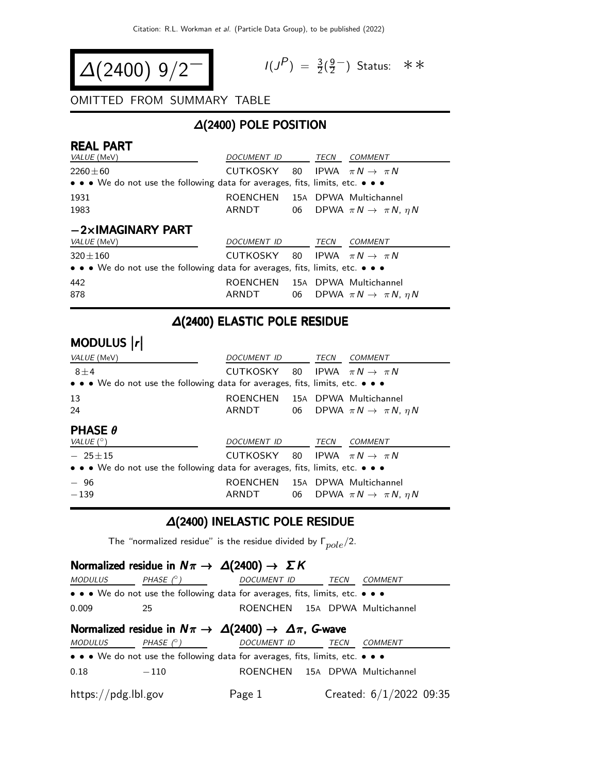$$
\Delta(2400) 9/2^{-1}
$$

$$
I(J^P) = \frac{3}{2}(\frac{9}{2}^-)
$$
 Status:  $\ast \ast$ 

OMITTED FROM SUMMARY TABLE

### ∆(2400) POLE POSITION

| <b>REAL PART</b><br><i>VALUE</i> (MeV)                                                                                | DOCUMENT ID TECN                           |             | COMMENT                                      |
|-----------------------------------------------------------------------------------------------------------------------|--------------------------------------------|-------------|----------------------------------------------|
| $2260 \pm 60$                                                                                                         | CUTKOSKY                                   |             | 80 IPWA $\pi N \rightarrow \pi N$            |
| $\bullet \bullet \bullet$ We do not use the following data for averages, fits, limits, etc. $\bullet \bullet \bullet$ |                                            |             |                                              |
| 1931                                                                                                                  | ROENCHEN 15A DPWA Multichannel             |             |                                              |
| 1983                                                                                                                  | ARNDT                                      |             | 06 DPWA $\pi N \rightarrow \pi N$ , $\eta N$ |
| $-2\times$ IMAGINARY PART                                                                                             |                                            |             |                                              |
| <i>VALUE</i> (MeV)                                                                                                    | DOCUMENT ID                                | <b>TECN</b> | <b>COMMENT</b>                               |
| $320 \pm 160$                                                                                                         | CUTKOSKY 80 IPWA $\pi N \rightarrow \pi N$ |             |                                              |
| • • • We do not use the following data for averages, fits, limits, etc. • • •                                         |                                            |             |                                              |
| 442<br>878                                                                                                            | ROENCHEN 15A DPWA Multichannel<br>ARNDT    |             | 06 DPWA $\pi N \rightarrow \pi N$ , $\eta N$ |

#### ∆(2400) ELASTIC POLE RESIDUE

# modulus  $\vert r \vert$

| VALUE (MeV)                                                                                                           | DOCUMENT ID                                | TECN | <b>COMMENT</b>                               |
|-----------------------------------------------------------------------------------------------------------------------|--------------------------------------------|------|----------------------------------------------|
| $8 \pm 4$                                                                                                             | CUTKOSKY 80 IPWA $\pi N \rightarrow \pi N$ |      |                                              |
| • • • We do not use the following data for averages, fits, limits, etc. • • •                                         |                                            |      |                                              |
| 13                                                                                                                    | ROENCHEN 15A DPWA Multichannel             |      |                                              |
| 24                                                                                                                    | ARNDT                                      |      | 06 DPWA $\pi N \rightarrow \pi N$ , $\eta N$ |
| <b>PHASE <math>\theta</math></b><br>VALUE $(^\circ)$                                                                  | DOCUMENT ID                                | TECN | COMMENT                                      |
| $-25+15$                                                                                                              | CUTKOSKY                                   |      | 80 IPWA $\pi N \rightarrow \pi N$            |
| $\bullet \bullet \bullet$ We do not use the following data for averages, fits, limits, etc. $\bullet \bullet \bullet$ |                                            |      |                                              |
| $-96$<br>$-139$                                                                                                       | ROENCHEN 15A DPWA Multichannel<br>ARNDT    |      | 06 DPWA $\pi N \rightarrow \pi N$ , $\eta N$ |

#### ∆(2400) INELASTIC POLE RESIDUE

The "normalized residue" is the residue divided by  $\Gamma_{pole}/2$ .

#### Normalized residue in  $N\pi \rightarrow \Delta(2400) \rightarrow \Sigma K$

| <i>MODULUS</i>      | PHASE $(^\circ)$ | <i>DOCUMENT ID</i>                                                            | TECN | <b>COMMENT</b>            |  |
|---------------------|------------------|-------------------------------------------------------------------------------|------|---------------------------|--|
|                     |                  | • • • We do not use the following data for averages, fits, limits, etc. • • • |      |                           |  |
| 0.009               | 25               | ROENCHEN 15A DPWA Multichannel                                                |      |                           |  |
|                     |                  | Normalized residue in $N\pi \to \Delta(2400) \to \Delta\pi$ , G-wave          |      |                           |  |
| <i>MODULUS</i>      | PHASE $(^\circ)$ | DOCUMENT ID                                                                   | TECN | <i>COMMENT</i>            |  |
|                     |                  | • • • We do not use the following data for averages, fits, limits, etc. • • • |      |                           |  |
| 0.18                | $-110$           | ROENCHEN 15A DPWA Multichannel                                                |      |                           |  |
| https://pdg.lbl.gov |                  | Page 1                                                                        |      | Created: $6/1/2022$ 09:35 |  |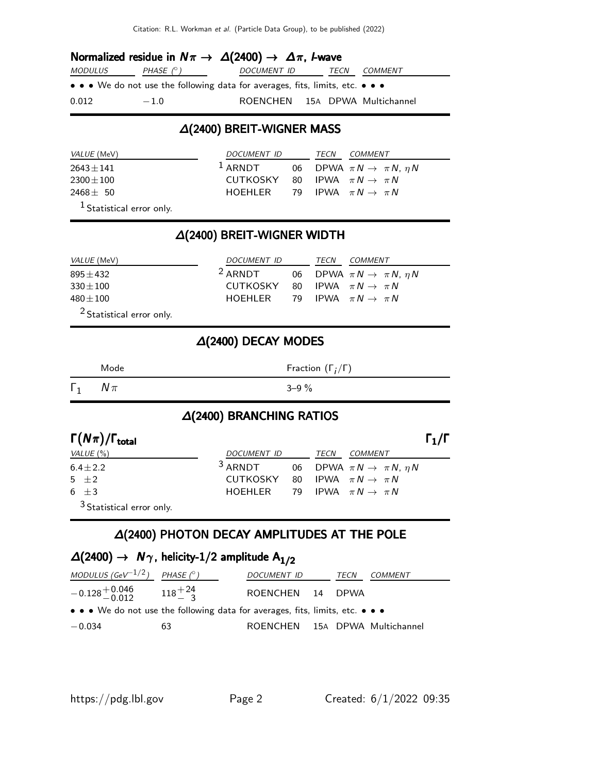Citation: R.L. Workman et al. (Particle Data Group), to be published (2022)

### Normalized residue in  $N\pi \to \Delta(2400) \to \Delta\pi$ , I-wave

| <i>MODULUS</i> | PHASE $(^\circ)$                                                              | <i>DOCUMENT ID</i>             | TECN | <i>COMMENT</i> |
|----------------|-------------------------------------------------------------------------------|--------------------------------|------|----------------|
|                | • • • We do not use the following data for averages, fits, limits, etc. • • • |                                |      |                |
| 0.012          | $-1.0$                                                                        | ROENCHEN 15A DPWA Multichannel |      |                |

#### ∆(2400) BREIT-WIGNER MASS

| <i>VALUE</i> (MeV)                   | <i>DOCUMENT ID</i>                         |  | TECN | <i>COMMENT</i>                               |
|--------------------------------------|--------------------------------------------|--|------|----------------------------------------------|
| $2643 \pm 141$                       | $1$ ARNDT                                  |  |      | 06 DPWA $\pi N \rightarrow \pi N$ , $\eta N$ |
| $2300 \pm 100$                       | CUTKOSKY 80 IPWA $\pi N \rightarrow \pi N$ |  |      |                                              |
| $2468 \pm 50$                        | HOEHLER 79 IPWA $\pi N \rightarrow \pi N$  |  |      |                                              |
| <sup>1</sup> Statistical error only. |                                            |  |      |                                              |

### ∆(2400) BREIT-WIGNER WIDTH

| <i>VALUE</i> (MeV) | <i>DOCUMENT ID</i>                         | TECN | <i>COMMENT</i>                               |
|--------------------|--------------------------------------------|------|----------------------------------------------|
| $895 + 432$        | $^2$ ARNDT                                 |      | 06 DPWA $\pi N \rightarrow \pi N$ , $\eta N$ |
| $330 \pm 100$      | CUTKOSKY 80 IPWA $\pi N \rightarrow \pi N$ |      |                                              |
| 480 $\pm$ 100      | HOEHLER 79 IPWA $\pi N \rightarrow \pi N$  |      |                                              |
| $2 - 1$            |                                            |      |                                              |

2 Statistical error only.

#### ∆(2400) DECAY MODES

|            | Mode   | Fraction $(\Gamma_i/\Gamma)$ |
|------------|--------|------------------------------|
| $\Gamma_1$ | $N\pi$ | $3 - 9\%$                    |

#### ∆(2400) BRANCHING RATIOS

| $\Gamma(N\pi)/\Gamma_{\rm total}$    |                                            |      |                                              | $\Gamma_1/\Gamma$ |
|--------------------------------------|--------------------------------------------|------|----------------------------------------------|-------------------|
| VALUE (%)                            | DOCUMENT ID                                | TECN | <i>COMMENT</i>                               |                   |
| $6.4 \pm 2.2$                        | $3$ ARNDT                                  |      | 06 DPWA $\pi N \rightarrow \pi N$ , $\eta N$ |                   |
| 5 $\pm 2$                            | CUTKOSKY 80 IPWA $\pi N \rightarrow \pi N$ |      |                                              |                   |
| $6 + 3$                              | HOFHI FR                                   |      | 79 IPWA $\pi N \rightarrow \pi N$            |                   |
| <sup>3</sup> Statistical error only. |                                            |      |                                              |                   |

#### ∆(2400) PHOTON DECAY AMPLITUDES AT THE POLE

### $\Delta(2400)$  →  $N_{\gamma}$ , helicity-1/2 amplitude  $A_{1/2}$

| MODULUS (GeV <sup>-1/2</sup> ) PHASE (°)                                      |    | <i>DOCUMENT ID</i>             | TECN | COMMENT |
|-------------------------------------------------------------------------------|----|--------------------------------|------|---------|
| $-0.128 + 0.046$ $118 + 24$<br>$-0.012$ $118 + 24$                            |    | ROENCHEN 14 DPWA               |      |         |
| • • • We do not use the following data for averages, fits, limits, etc. • • • |    |                                |      |         |
| $-0.034$                                                                      | 63 | ROENCHEN 15A DPWA Multichannel |      |         |